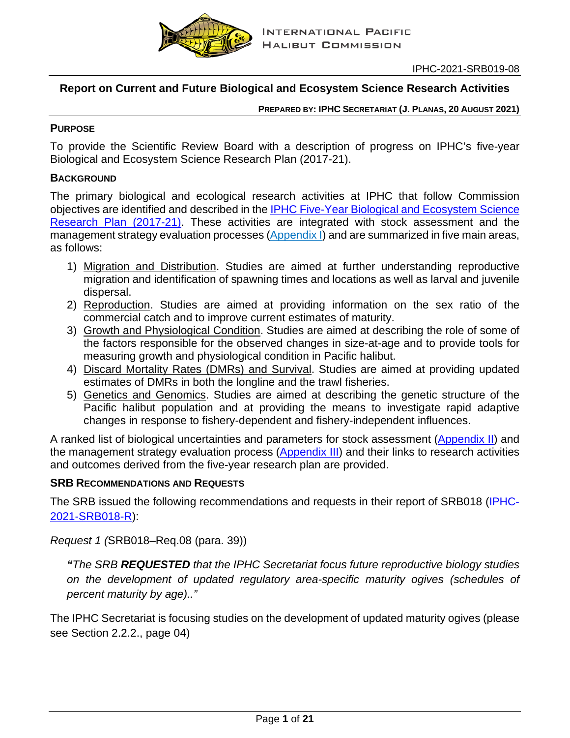

## **Report on Current and Future Biological and Ecosystem Science Research Activities**

**PREPARED BY: IPHC SECRETARIAT (J. PLANAS, 20 AUGUST 2021)**

#### **PURPOSE**

To provide the Scientific Review Board with a description of progress on IPHC's five-year Biological and Ecosystem Science Research Plan (2017-21).

### **BACKGROUND**

The primary biological and ecological research activities at IPHC that follow Commission objectives are identified and described in the [IPHC Five-Year Biological and Ecosystem Science](https://www.iphc.int/uploads/pdf/besrp/2019/iphc-2019-besrp-5yp.pdf)  [Research Plan \(2017-21\).](https://www.iphc.int/uploads/pdf/besrp/2019/iphc-2019-besrp-5yp.pdf) These activities are integrated with stock assessment and the management strategy evaluation processes [\(Appendix I\)](#page-16-0) and are summarized in five main areas, as follows:

- 1) Migration and Distribution. Studies are aimed at further understanding reproductive migration and identification of spawning times and locations as well as larval and juvenile dispersal.
- 2) Reproduction. Studies are aimed at providing information on the sex ratio of the commercial catch and to improve current estimates of maturity.
- 3) Growth and Physiological Condition. Studies are aimed at describing the role of some of the factors responsible for the observed changes in size-at-age and to provide tools for measuring growth and physiological condition in Pacific halibut.
- 4) Discard Mortality Rates (DMRs) and Survival. Studies are aimed at providing updated estimates of DMRs in both the longline and the trawl fisheries.
- 5) Genetics and Genomics. Studies are aimed at describing the genetic structure of the Pacific halibut population and at providing the means to investigate rapid adaptive changes in response to fishery-dependent and fishery-independent influences.

A ranked list of biological uncertainties and parameters for stock assessment [\(Appendix II\)](#page-17-0) and the management strategy evaluation process [\(Appendix III\)](#page-18-0) and their links to research activities and outcomes derived from the five-year research plan are provided.

### **SRB RECOMMENDATIONS AND REQUESTS**

The SRB issued the following recommendations and requests in their report of SRB018 [\(IPHC-](https://www.iphc.int/uploads/pdf/srb/srb018/iphc-2021-srb018-r.pdf)[2021-SRB018-R\)](https://www.iphc.int/uploads/pdf/srb/srb018/iphc-2021-srb018-r.pdf):

*Request 1 (*SRB018–Req.08 (para. 39))

*"The SRB REQUESTED that the IPHC Secretariat focus future reproductive biology studies on the development of updated regulatory area-specific maturity ogives (schedules of percent maturity by age).."*

The IPHC Secretariat is focusing studies on the development of updated maturity ogives (please see Section 2.2.2., page 04)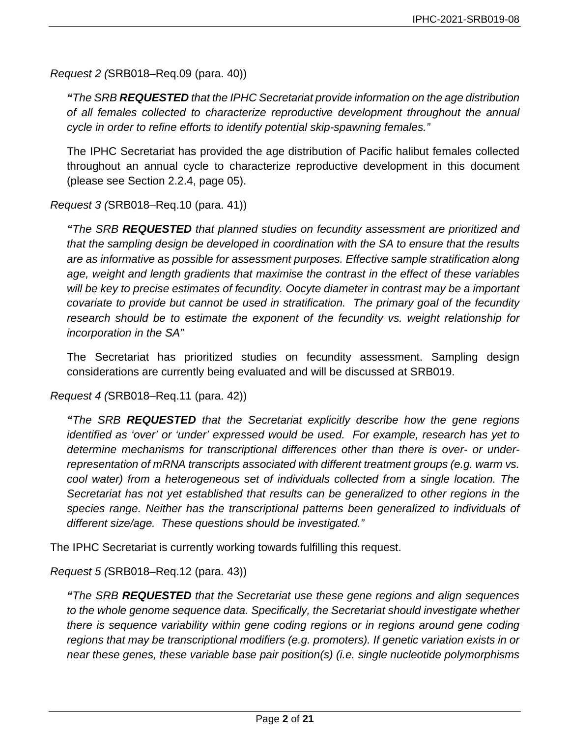*Request 2 (*SRB018–Req.09 (para. 40))

*"The SRB REQUESTED that the IPHC Secretariat provide information on the age distribution of all females collected to characterize reproductive development throughout the annual cycle in order to refine efforts to identify potential skip-spawning females."*

The IPHC Secretariat has provided the age distribution of Pacific halibut females collected throughout an annual cycle to characterize reproductive development in this document (please see Section 2.2.4, page 05).

*Request 3 (*SRB018–Req.10 (para. 41))

*"The SRB REQUESTED that planned studies on fecundity assessment are prioritized and that the sampling design be developed in coordination with the SA to ensure that the results are as informative as possible for assessment purposes. Effective sample stratification along age, weight and length gradients that maximise the contrast in the effect of these variables will be key to precise estimates of fecundity. Oocyte diameter in contrast may be a important covariate to provide but cannot be used in stratification. The primary goal of the fecundity research should be to estimate the exponent of the fecundity vs. weight relationship for incorporation in the SA"*

The Secretariat has prioritized studies on fecundity assessment. Sampling design considerations are currently being evaluated and will be discussed at SRB019.

*Request 4 (*SRB018–Req.11 (para. 42))

*"The SRB REQUESTED that the Secretariat explicitly describe how the gene regions identified as 'over' or 'under' expressed would be used. For example, research has yet to determine mechanisms for transcriptional differences other than there is over- or underrepresentation of mRNA transcripts associated with different treatment groups (e.g. warm vs. cool water) from a heterogeneous set of individuals collected from a single location. The Secretariat has not yet established that results can be generalized to other regions in the species range. Neither has the transcriptional patterns been generalized to individuals of different size/age. These questions should be investigated."*

The IPHC Secretariat is currently working towards fulfilling this request.

*Request 5 (*SRB018–Req.12 (para. 43))

*"The SRB REQUESTED that the Secretariat use these gene regions and align sequences to the whole genome sequence data. Specifically, the Secretariat should investigate whether there is sequence variability within gene coding regions or in regions around gene coding regions that may be transcriptional modifiers (e.g. promoters). If genetic variation exists in or near these genes, these variable base pair position(s) (i.e. single nucleotide polymorphisms*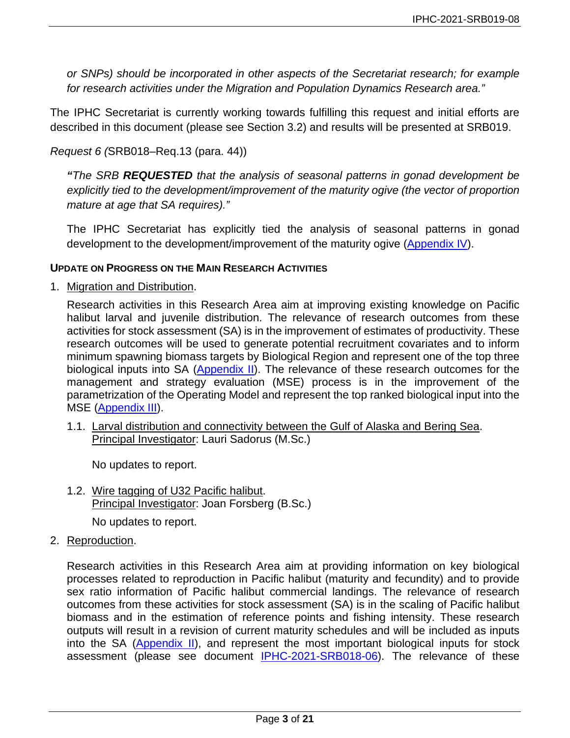*or SNPs) should be incorporated in other aspects of the Secretariat research; for example for research activities under the Migration and Population Dynamics Research area."*

The IPHC Secretariat is currently working towards fulfilling this request and initial efforts are described in this document (please see Section 3.2) and results will be presented at SRB019.

*Request 6 (*SRB018–Req.13 (para. 44))

*"The SRB REQUESTED that the analysis of seasonal patterns in gonad development be explicitly tied to the development/improvement of the maturity ogive (the vector of proportion mature at age that SA requires)."*

The IPHC Secretariat has explicitly tied the analysis of seasonal patterns in gonad development to the development/improvement of the maturity ogive [\(Appendix IV\)](#page-19-0).

#### **UPDATE ON PROGRESS ON THE MAIN RESEARCH ACTIVITIES**

1. Migration and Distribution.

Research activities in this Research Area aim at improving existing knowledge on Pacific halibut larval and juvenile distribution. The relevance of research outcomes from these activities for stock assessment (SA) is in the improvement of estimates of productivity. These research outcomes will be used to generate potential recruitment covariates and to inform minimum spawning biomass targets by Biological Region and represent one of the top three biological inputs into SA [\(Appendix II\)](#page-17-0). The relevance of these research outcomes for the management and strategy evaluation (MSE) process is in the improvement of the parametrization of the Operating Model and represent the top ranked biological input into the MSE [\(Appendix III\)](#page-18-0).

1.1. Larval distribution and connectivity between the Gulf of Alaska and Bering Sea. Principal Investigator: Lauri Sadorus (M.Sc.)

No updates to report.

1.2. Wire tagging of U32 Pacific halibut. Principal Investigator: Joan Forsberg (B.Sc.)

No updates to report.

2. Reproduction.

Research activities in this Research Area aim at providing information on key biological processes related to reproduction in Pacific halibut (maturity and fecundity) and to provide sex ratio information of Pacific halibut commercial landings. The relevance of research outcomes from these activities for stock assessment (SA) is in the scaling of Pacific halibut biomass and in the estimation of reference points and fishing intensity. These research outputs will result in a revision of current maturity schedules and will be included as inputs into the SA [\(Appendix II\)](#page-17-0), and represent the most important biological inputs for stock assessment (please see document [IPHC-2021-SRB018-06\)](https://www.iphc.int/uploads/pdf/srb/srb018/iphc-2021-srb018-06.pdf). The relevance of these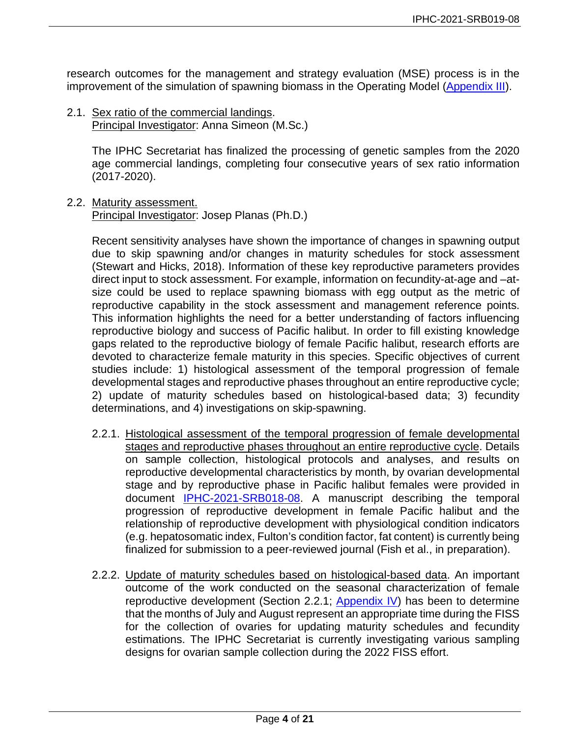research outcomes for the management and strategy evaluation (MSE) process is in the improvement of the simulation of spawning biomass in the Operating Model [\(Appendix III\)](#page-18-0).

2.1. Sex ratio of the commercial landings. Principal Investigator: Anna Simeon (M.Sc.)

> The IPHC Secretariat has finalized the processing of genetic samples from the 2020 age commercial landings, completing four consecutive years of sex ratio information (2017-2020).

2.2. Maturity assessment.

Principal Investigator: Josep Planas (Ph.D.)

Recent sensitivity analyses have shown the importance of changes in spawning output due to skip spawning and/or changes in maturity schedules for stock assessment (Stewart and Hicks, 2018). Information of these key reproductive parameters provides direct input to stock assessment. For example, information on fecundity-at-age and –atsize could be used to replace spawning biomass with egg output as the metric of reproductive capability in the stock assessment and management reference points. This information highlights the need for a better understanding of factors influencing reproductive biology and success of Pacific halibut. In order to fill existing knowledge gaps related to the reproductive biology of female Pacific halibut, research efforts are devoted to characterize female maturity in this species. Specific objectives of current studies include: 1) histological assessment of the temporal progression of female developmental stages and reproductive phases throughout an entire reproductive cycle; 2) update of maturity schedules based on histological-based data; 3) fecundity determinations, and 4) investigations on skip-spawning.

- 2.2.1. Histological assessment of the temporal progression of female developmental stages and reproductive phases throughout an entire reproductive cycle. Details on sample collection, histological protocols and analyses, and results on reproductive developmental characteristics by month, by ovarian developmental stage and by reproductive phase in Pacific halibut females were provided in document [IPHC-2021-SRB018-08.](https://www.iphc.int/uploads/pdf/srb/srb018/iphc-2021-srb018-08.pdf) A manuscript describing the temporal progression of reproductive development in female Pacific halibut and the relationship of reproductive development with physiological condition indicators (e.g. hepatosomatic index, Fulton's condition factor, fat content) is currently being finalized for submission to a peer-reviewed journal (Fish et al., in preparation).
- 2.2.2. Update of maturity schedules based on histological-based data. An important outcome of the work conducted on the seasonal characterization of female reproductive development (Section 2.2.1; [Appendix IV\)](#page-19-0) has been to determine that the months of July and August represent an appropriate time during the FISS for the collection of ovaries for updating maturity schedules and fecundity estimations. The IPHC Secretariat is currently investigating various sampling designs for ovarian sample collection during the 2022 FISS effort.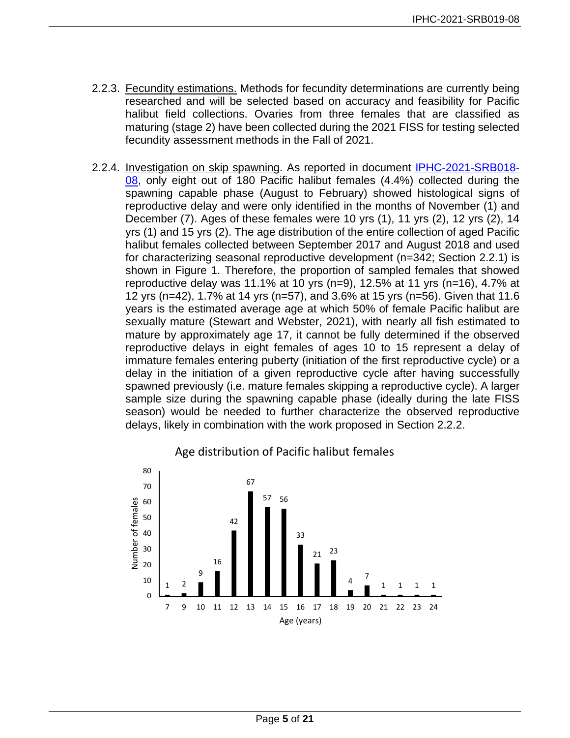- 2.2.3. Fecundity estimations. Methods for fecundity determinations are currently being researched and will be selected based on accuracy and feasibility for Pacific halibut field collections. Ovaries from three females that are classified as maturing (stage 2) have been collected during the 2021 FISS for testing selected fecundity assessment methods in the Fall of 2021.
- 2.2.4. Investigation on skip spawning. As reported in document [IPHC-2021-SRB018-](https://www.iphc.int/uploads/pdf/srb/srb018/iphc-2021-srb018-08.pdf) [08,](https://www.iphc.int/uploads/pdf/srb/srb018/iphc-2021-srb018-08.pdf) only eight out of 180 Pacific halibut females (4.4%) collected during the spawning capable phase (August to February) showed histological signs of reproductive delay and were only identified in the months of November (1) and December (7). Ages of these females were 10 yrs (1), 11 yrs (2), 12 yrs (2), 14 yrs (1) and 15 yrs (2). The age distribution of the entire collection of aged Pacific halibut females collected between September 2017 and August 2018 and used for characterizing seasonal reproductive development (n=342; Section 2.2.1) is shown in Figure 1. Therefore, the proportion of sampled females that showed reproductive delay was 11.1% at 10 yrs (n=9), 12.5% at 11 yrs (n=16), 4.7% at 12 yrs (n=42), 1.7% at 14 yrs (n=57), and 3.6% at 15 yrs (n=56). Given that 11.6 years is the estimated average age at which 50% of female Pacific halibut are sexually mature (Stewart and Webster, 2021), with nearly all fish estimated to mature by approximately age 17, it cannot be fully determined if the observed reproductive delays in eight females of ages 10 to 15 represent a delay of immature females entering puberty (initiation of the first reproductive cycle) or a delay in the initiation of a given reproductive cycle after having successfully spawned previously (i.e. mature females skipping a reproductive cycle). A larger sample size during the spawning capable phase (ideally during the late FISS season) would be needed to further characterize the observed reproductive delays, likely in combination with the work proposed in Section 2.2.2.



### Age distribution of Pacific halibut females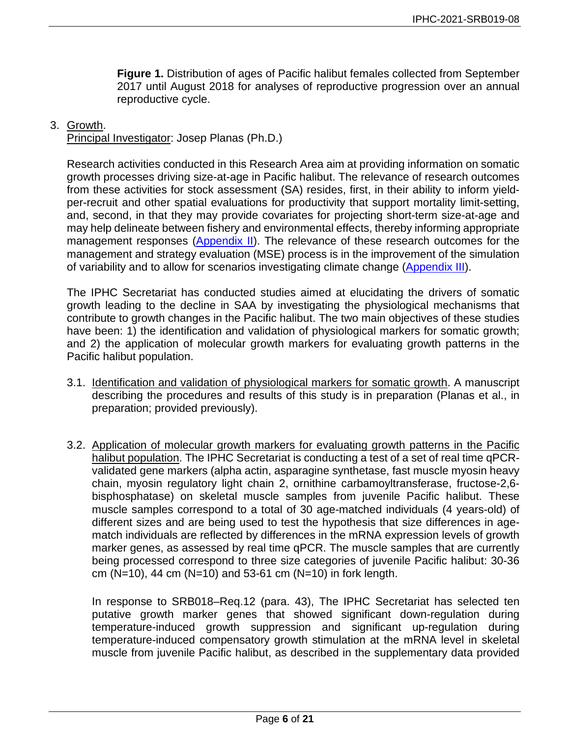**Figure 1.** Distribution of ages of Pacific halibut females collected from September 2017 until August 2018 for analyses of reproductive progression over an annual reproductive cycle.

#### 3. Growth.

Principal Investigator: Josep Planas (Ph.D.)

Research activities conducted in this Research Area aim at providing information on somatic growth processes driving size-at-age in Pacific halibut. The relevance of research outcomes from these activities for stock assessment (SA) resides, first, in their ability to inform yieldper-recruit and other spatial evaluations for productivity that support mortality limit-setting, and, second, in that they may provide covariates for projecting short-term size-at-age and may help delineate between fishery and environmental effects, thereby informing appropriate management responses [\(Appendix II\)](#page-17-0). The relevance of these research outcomes for the management and strategy evaluation (MSE) process is in the improvement of the simulation of variability and to allow for scenarios investigating climate change [\(Appendix III\)](#page-18-0).

The IPHC Secretariat has conducted studies aimed at elucidating the drivers of somatic growth leading to the decline in SAA by investigating the physiological mechanisms that contribute to growth changes in the Pacific halibut. The two main objectives of these studies have been: 1) the identification and validation of physiological markers for somatic growth: and 2) the application of molecular growth markers for evaluating growth patterns in the Pacific halibut population.

- 3.1. Identification and validation of physiological markers for somatic growth. A manuscript describing the procedures and results of this study is in preparation (Planas et al., in preparation; provided previously).
- 3.2. Application of molecular growth markers for evaluating growth patterns in the Pacific halibut population. The IPHC Secretariat is conducting a test of a set of real time qPCRvalidated gene markers (alpha actin, asparagine synthetase, fast muscle myosin heavy chain, myosin regulatory light chain 2, ornithine carbamoyltransferase, fructose-2,6 bisphosphatase) on skeletal muscle samples from juvenile Pacific halibut. These muscle samples correspond to a total of 30 age-matched individuals (4 years-old) of different sizes and are being used to test the hypothesis that size differences in agematch individuals are reflected by differences in the mRNA expression levels of growth marker genes, as assessed by real time qPCR. The muscle samples that are currently being processed correspond to three size categories of juvenile Pacific halibut: 30-36 cm  $(N=10)$ , 44 cm  $(N=10)$  and 53-61 cm  $(N=10)$  in fork length.

In response to SRB018–Req.12 (para. 43), The IPHC Secretariat has selected ten putative growth marker genes that showed significant down-regulation during temperature-induced growth suppression and significant up-regulation during temperature-induced compensatory growth stimulation at the mRNA level in skeletal muscle from juvenile Pacific halibut, as described in the supplementary data provided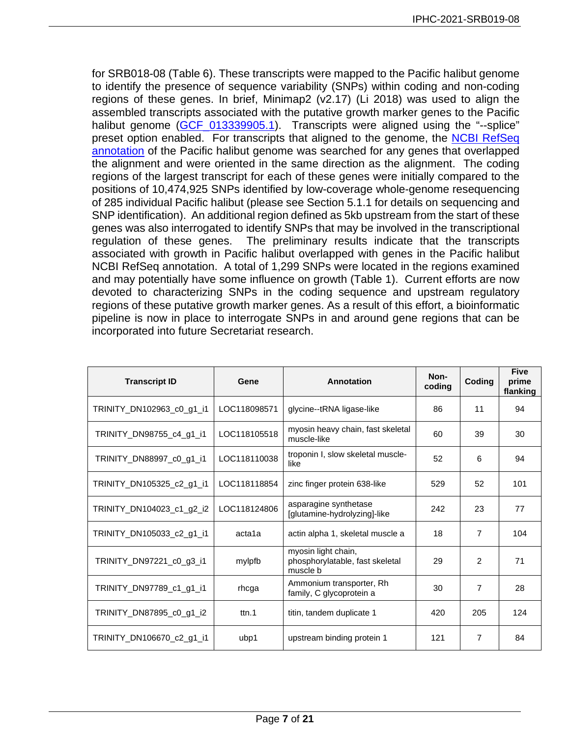for SRB018-08 (Table 6). These transcripts were mapped to the Pacific halibut genome to identify the presence of sequence variability (SNPs) within coding and non-coding regions of these genes. In brief, Minimap2 (v2.17) (Li 2018) was used to align the assembled transcripts associated with the putative growth marker genes to the Pacific halibut genome (GCF 013339905.1). Transcripts were aligned using the "--splice" preset option enabled. For transcripts that aligned to the genome, the NCBI RefSeq [annotation](https://www.ncbi.nlm.nih.gov/genome/annotation_euk/Hippoglossus_stenolepis/100/) of the Pacific halibut genome was searched for any genes that overlapped the alignment and were oriented in the same direction as the alignment. The coding regions of the largest transcript for each of these genes were initially compared to the positions of 10,474,925 SNPs identified by low-coverage whole-genome resequencing of 285 individual Pacific halibut (please see Section 5.1.1 for details on sequencing and SNP identification). An additional region defined as 5kb upstream from the start of these genes was also interrogated to identify SNPs that may be involved in the transcriptional regulation of these genes. The preliminary results indicate that the transcripts associated with growth in Pacific halibut overlapped with genes in the Pacific halibut NCBI RefSeq annotation. A total of 1,299 SNPs were located in the regions examined and may potentially have some influence on growth (Table 1). Current efforts are now devoted to characterizing SNPs in the coding sequence and upstream regulatory regions of these putative growth marker genes. As a result of this effort, a bioinformatic pipeline is now in place to interrogate SNPs in and around gene regions that can be incorporated into future Secretariat research.

| <b>Transcript ID</b>      | Gene         | Annotation                                                         | Non-<br>coding | Coding         | <b>Five</b><br>prime<br>flanking |
|---------------------------|--------------|--------------------------------------------------------------------|----------------|----------------|----------------------------------|
| TRINITY_DN102963_c0_g1_i1 | LOC118098571 | glycine--tRNA ligase-like                                          | 86             | 11             | 94                               |
| TRINITY_DN98755_c4_g1_i1  | LOC118105518 | myosin heavy chain, fast skeletal<br>muscle-like                   | 60             | 39             | 30                               |
| TRINITY_DN88997_c0_g1_i1  | LOC118110038 | troponin I, slow skeletal muscle-<br>like                          | 52             | 6              | 94                               |
| TRINITY_DN105325_c2_g1_i1 | LOC118118854 | zinc finger protein 638-like                                       | 529            | 52             | 101                              |
| TRINITY_DN104023_c1_g2_i2 | LOC118124806 | asparagine synthetase<br>[glutamine-hydrolyzing]-like              | 242            | 23             | 77                               |
| TRINITY_DN105033_c2_g1_i1 | acta1a       | actin alpha 1, skeletal muscle a                                   | 18             | $\overline{7}$ | 104                              |
| TRINITY_DN97221_c0_g3_i1  | mylpfb       | myosin light chain,<br>phosphorylatable, fast skeletal<br>muscle b | 29             | $\overline{2}$ | 71                               |
| TRINITY_DN97789_c1_g1_i1  | rhcga        | Ammonium transporter, Rh<br>family, C glycoprotein a               | 30             | $\overline{7}$ | 28                               |
| TRINITY DN87895 c0 g1 i2  | ttn.1        | titin, tandem duplicate 1                                          | 420            | 205            | 124                              |
| TRINITY_DN106670_c2_g1_i1 | ubp1         | upstream binding protein 1                                         | 121            | 7              | 84                               |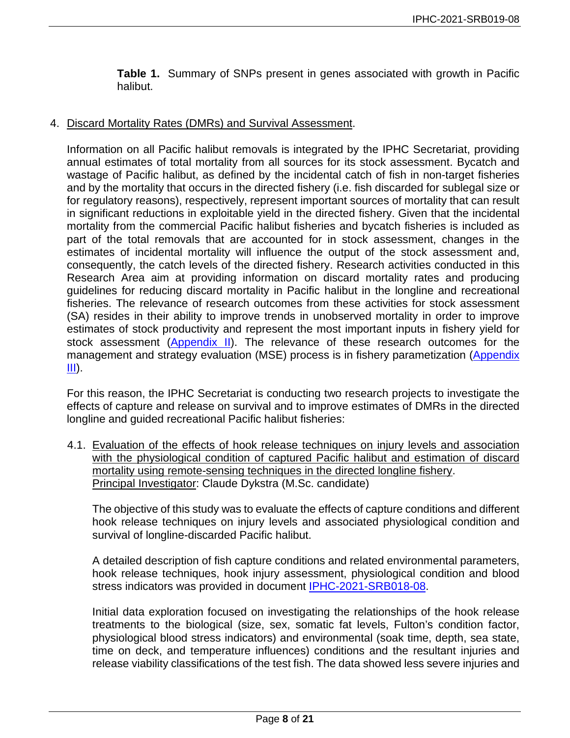**Table 1.** Summary of SNPs present in genes associated with growth in Pacific halibut.

### 4. Discard Mortality Rates (DMRs) and Survival Assessment.

Information on all Pacific halibut removals is integrated by the IPHC Secretariat, providing annual estimates of total mortality from all sources for its stock assessment. Bycatch and wastage of Pacific halibut, as defined by the incidental catch of fish in non-target fisheries and by the mortality that occurs in the directed fishery (i.e. fish discarded for sublegal size or for regulatory reasons), respectively, represent important sources of mortality that can result in significant reductions in exploitable yield in the directed fishery. Given that the incidental mortality from the commercial Pacific halibut fisheries and bycatch fisheries is included as part of the total removals that are accounted for in stock assessment, changes in the estimates of incidental mortality will influence the output of the stock assessment and, consequently, the catch levels of the directed fishery. Research activities conducted in this Research Area aim at providing information on discard mortality rates and producing guidelines for reducing discard mortality in Pacific halibut in the longline and recreational fisheries. The relevance of research outcomes from these activities for stock assessment (SA) resides in their ability to improve trends in unobserved mortality in order to improve estimates of stock productivity and represent the most important inputs in fishery yield for stock assessment [\(Appendix II\)](#page-17-0). The relevance of these research outcomes for the management and strategy evaluation (MSE) process is in fishery parametization (Appendix [III\)](#page-18-0).

For this reason, the IPHC Secretariat is conducting two research projects to investigate the effects of capture and release on survival and to improve estimates of DMRs in the directed longline and guided recreational Pacific halibut fisheries:

4.1. Evaluation of the effects of hook release techniques on injury levels and association with the physiological condition of captured Pacific halibut and estimation of discard mortality using remote-sensing techniques in the directed longline fishery. Principal Investigator: Claude Dykstra (M.Sc. candidate)

The objective of this study was to evaluate the effects of capture conditions and different hook release techniques on injury levels and associated physiological condition and survival of longline-discarded Pacific halibut.

A detailed description of fish capture conditions and related environmental parameters, hook release techniques, hook injury assessment, physiological condition and blood stress indicators was provided in document [IPHC-2021-SRB018-08.](https://www.iphc.int/uploads/pdf/srb/srb018/iphc-2021-srb018-08.pdf)

Initial data exploration focused on investigating the relationships of the hook release treatments to the biological (size, sex, somatic fat levels, Fulton's condition factor, physiological blood stress indicators) and environmental (soak time, depth, sea state, time on deck, and temperature influences) conditions and the resultant injuries and release viability classifications of the test fish. The data showed less severe injuries and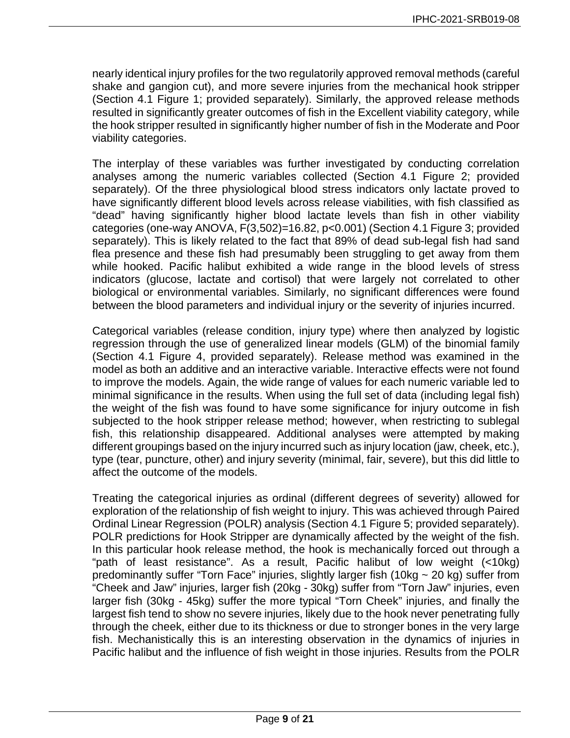nearly identical injury profiles for the two regulatorily approved removal methods (careful shake and gangion cut), and more severe injuries from the mechanical hook stripper (Section 4.1 Figure 1; provided separately). Similarly, the approved release methods resulted in significantly greater outcomes of fish in the Excellent viability category, while the hook stripper resulted in significantly higher number of fish in the Moderate and Poor viability categories.

The interplay of these variables was further investigated by conducting correlation analyses among the numeric variables collected (Section 4.1 Figure 2; provided separately). Of the three physiological blood stress indicators only lactate proved to have significantly different blood levels across release viabilities, with fish classified as "dead" having significantly higher blood lactate levels than fish in other viability categories (one-way ANOVA, F(3,502)=16.82, p<0.001) (Section 4.1 Figure 3; provided separately). This is likely related to the fact that 89% of dead sub-legal fish had sand flea presence and these fish had presumably been struggling to get away from them while hooked. Pacific halibut exhibited a wide range in the blood levels of stress indicators (glucose, lactate and cortisol) that were largely not correlated to other biological or environmental variables. Similarly, no significant differences were found between the blood parameters and individual injury or the severity of injuries incurred.

Categorical variables (release condition, injury type) where then analyzed by logistic regression through the use of generalized linear models (GLM) of the binomial family (Section 4.1 Figure 4, provided separately). Release method was examined in the model as both an additive and an interactive variable. Interactive effects were not found to improve the models. Again, the wide range of values for each numeric variable led to minimal significance in the results. When using the full set of data (including legal fish) the weight of the fish was found to have some significance for injury outcome in fish subjected to the hook stripper release method; however, when restricting to sublegal fish, this relationship disappeared. Additional analyses were attempted by making different groupings based on the injury incurred such as injury location (jaw, cheek, etc.), type (tear, puncture, other) and injury severity (minimal, fair, severe), but this did little to affect the outcome of the models.

Treating the categorical injuries as ordinal (different degrees of severity) allowed for exploration of the relationship of fish weight to injury. This was achieved through Paired Ordinal Linear Regression (POLR) analysis (Section 4.1 Figure 5; provided separately). POLR predictions for Hook Stripper are dynamically affected by the weight of the fish. In this particular hook release method, the hook is mechanically forced out through a "path of least resistance". As a result, Pacific halibut of low weight (<10kg) predominantly suffer "Torn Face" injuries, slightly larger fish (10kg ~ 20 kg) suffer from "Cheek and Jaw" injuries, larger fish (20kg - 30kg) suffer from "Torn Jaw" injuries, even larger fish (30kg - 45kg) suffer the more typical "Torn Cheek" injuries, and finally the largest fish tend to show no severe injuries, likely due to the hook never penetrating fully through the cheek, either due to its thickness or due to stronger bones in the very large fish. Mechanistically this is an interesting observation in the dynamics of injuries in Pacific halibut and the influence of fish weight in those injuries. Results from the POLR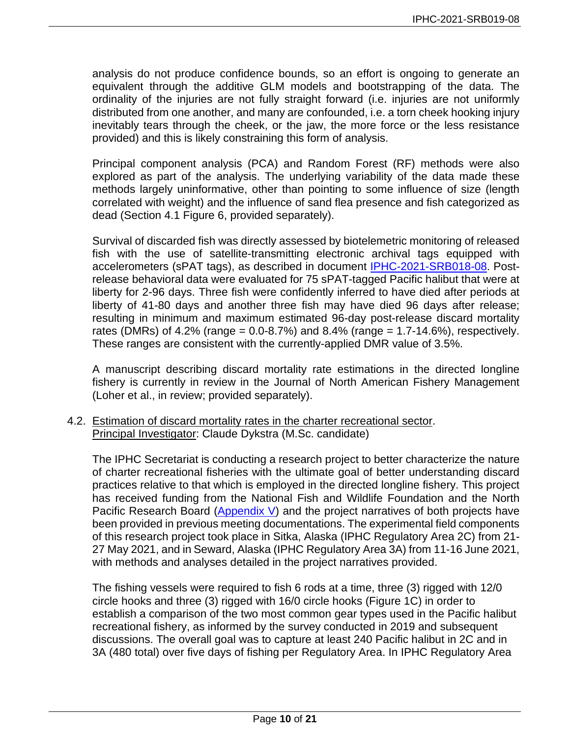analysis do not produce confidence bounds, so an effort is ongoing to generate an equivalent through the additive GLM models and bootstrapping of the data. The ordinality of the injuries are not fully straight forward (i.e. injuries are not uniformly distributed from one another, and many are confounded, i.e. a torn cheek hooking injury inevitably tears through the cheek, or the jaw, the more force or the less resistance provided) and this is likely constraining this form of analysis.

Principal component analysis (PCA) and Random Forest (RF) methods were also explored as part of the analysis. The underlying variability of the data made these methods largely uninformative, other than pointing to some influence of size (length correlated with weight) and the influence of sand flea presence and fish categorized as dead (Section 4.1 Figure 6, provided separately).

Survival of discarded fish was directly assessed by biotelemetric monitoring of released fish with the use of satellite-transmitting electronic archival tags equipped with accelerometers (sPAT tags), as described in document [IPHC-2021-SRB018-08.](https://www.iphc.int/uploads/pdf/srb/srb018/iphc-2021-srb018-08.pdf) Postrelease behavioral data were evaluated for 75 sPAT-tagged Pacific halibut that were at liberty for 2-96 days. Three fish were confidently inferred to have died after periods at liberty of 41-80 days and another three fish may have died 96 days after release; resulting in minimum and maximum estimated 96-day post-release discard mortality rates (DMRs) of  $4.2\%$  (range = 0.0-8.7%) and  $8.4\%$  (range = 1.7-14.6%), respectively. These ranges are consistent with the currently-applied DMR value of 3.5%.

A manuscript describing discard mortality rate estimations in the directed longline fishery is currently in review in the Journal of North American Fishery Management (Loher et al., in review; provided separately).

## 4.2. Estimation of discard mortality rates in the charter recreational sector. Principal Investigator: Claude Dykstra (M.Sc. candidate)

The IPHC Secretariat is conducting a research project to better characterize the nature of charter recreational fisheries with the ultimate goal of better understanding discard practices relative to that which is employed in the directed longline fishery. This project has received funding from the National Fish and Wildlife Foundation and the North Pacific Research Board [\(Appendix V\)](#page-20-0) and the project narratives of both projects have been provided in previous meeting documentations. The experimental field components of this research project took place in Sitka, Alaska (IPHC Regulatory Area 2C) from 21- 27 May 2021, and in Seward, Alaska (IPHC Regulatory Area 3A) from 11-16 June 2021, with methods and analyses detailed in the project narratives provided.

The fishing vessels were required to fish 6 rods at a time, three (3) rigged with 12/0 circle hooks and three (3) rigged with 16/0 circle hooks (Figure 1C) in order to establish a comparison of the two most common gear types used in the Pacific halibut recreational fishery, as informed by the survey conducted in 2019 and subsequent discussions. The overall goal was to capture at least 240 Pacific halibut in 2C and in 3A (480 total) over five days of fishing per Regulatory Area. In IPHC Regulatory Area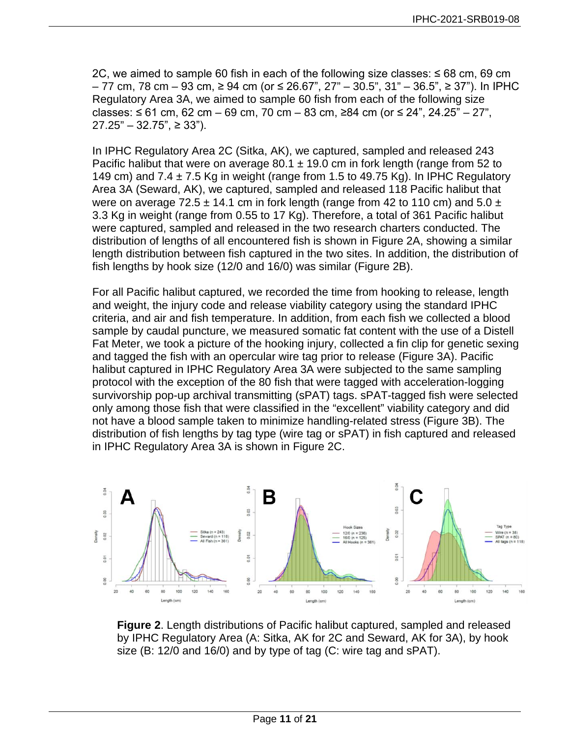2C, we aimed to sample 60 fish in each of the following size classes: ≤ 68 cm, 69 cm – 77 cm, 78 cm – 93 cm, ≥ 94 cm (or ≤ 26.67", 27" – 30.5", 31" – 36.5", ≥ 37"). In IPHC Regulatory Area 3A, we aimed to sample 60 fish from each of the following size classes: ≤ 61 cm, 62 cm – 69 cm, 70 cm – 83 cm, ≥84 cm (or ≤ 24", 24.25" – 27",  $27.25"$  – 32.75", ≥ 33").

In IPHC Regulatory Area 2C (Sitka, AK), we captured, sampled and released 243 Pacific halibut that were on average  $80.1 \pm 19.0$  cm in fork length (range from 52 to 149 cm) and  $7.4 \pm 7.5$  Kg in weight (range from 1.5 to 49.75 Kg). In IPHC Regulatory Area 3A (Seward, AK), we captured, sampled and released 118 Pacific halibut that were on average 72.5  $\pm$  14.1 cm in fork length (range from 42 to 110 cm) and 5.0  $\pm$ 3.3 Kg in weight (range from 0.55 to 17 Kg). Therefore, a total of 361 Pacific halibut were captured, sampled and released in the two research charters conducted. The distribution of lengths of all encountered fish is shown in Figure 2A, showing a similar length distribution between fish captured in the two sites. In addition, the distribution of fish lengths by hook size (12/0 and 16/0) was similar (Figure 2B).

For all Pacific halibut captured, we recorded the time from hooking to release, length and weight, the injury code and release viability category using the standard IPHC criteria, and air and fish temperature. In addition, from each fish we collected a blood sample by caudal puncture, we measured somatic fat content with the use of a Distell Fat Meter, we took a picture of the hooking injury, collected a fin clip for genetic sexing and tagged the fish with an opercular wire tag prior to release (Figure 3A). Pacific halibut captured in IPHC Regulatory Area 3A were subjected to the same sampling protocol with the exception of the 80 fish that were tagged with acceleration-logging survivorship pop-up archival transmitting (sPAT) tags. sPAT-tagged fish were selected only among those fish that were classified in the "excellent" viability category and did not have a blood sample taken to minimize handling-related stress (Figure 3B). The distribution of fish lengths by tag type (wire tag or sPAT) in fish captured and released in IPHC Regulatory Area 3A is shown in Figure 2C.



**Figure 2**. Length distributions of Pacific halibut captured, sampled and released by IPHC Regulatory Area (A: Sitka, AK for 2C and Seward, AK for 3A), by hook size (B: 12/0 and 16/0) and by type of tag (C: wire tag and sPAT).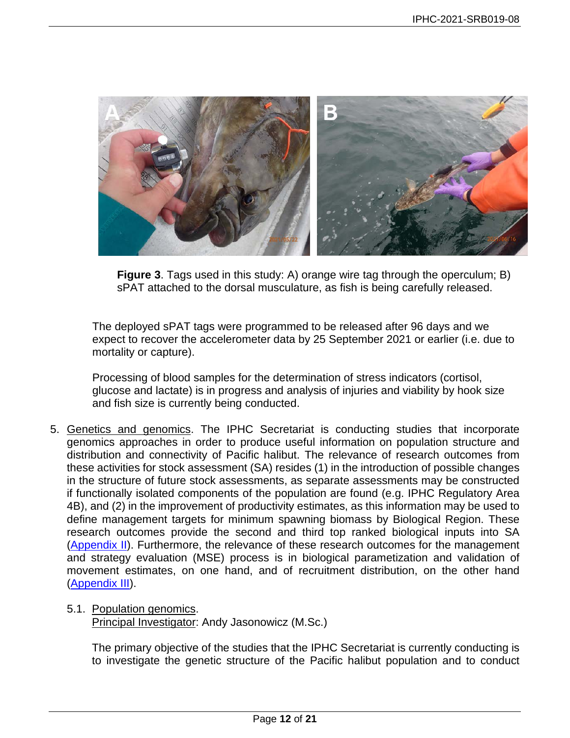

**Figure 3**. Tags used in this study: A) orange wire tag through the operculum; B) sPAT attached to the dorsal musculature, as fish is being carefully released.

The deployed sPAT tags were programmed to be released after 96 days and we expect to recover the accelerometer data by 25 September 2021 or earlier (i.e. due to mortality or capture).

Processing of blood samples for the determination of stress indicators (cortisol, glucose and lactate) is in progress and analysis of injuries and viability by hook size and fish size is currently being conducted.

- 5. Genetics and genomics. The IPHC Secretariat is conducting studies that incorporate genomics approaches in order to produce useful information on population structure and distribution and connectivity of Pacific halibut. The relevance of research outcomes from these activities for stock assessment (SA) resides (1) in the introduction of possible changes in the structure of future stock assessments, as separate assessments may be constructed if functionally isolated components of the population are found (e.g. IPHC Regulatory Area 4B), and (2) in the improvement of productivity estimates, as this information may be used to define management targets for minimum spawning biomass by Biological Region. These research outcomes provide the second and third top ranked biological inputs into SA [\(Appendix II\)](#page-17-0). Furthermore, the relevance of these research outcomes for the management and strategy evaluation (MSE) process is in biological parametization and validation of movement estimates, on one hand, and of recruitment distribution, on the other hand [\(Appendix III\)](#page-18-0).
	- 5.1. Population genomics.

Principal Investigator: Andy Jasonowicz (M.Sc.)

The primary objective of the studies that the IPHC Secretariat is currently conducting is to investigate the genetic structure of the Pacific halibut population and to conduct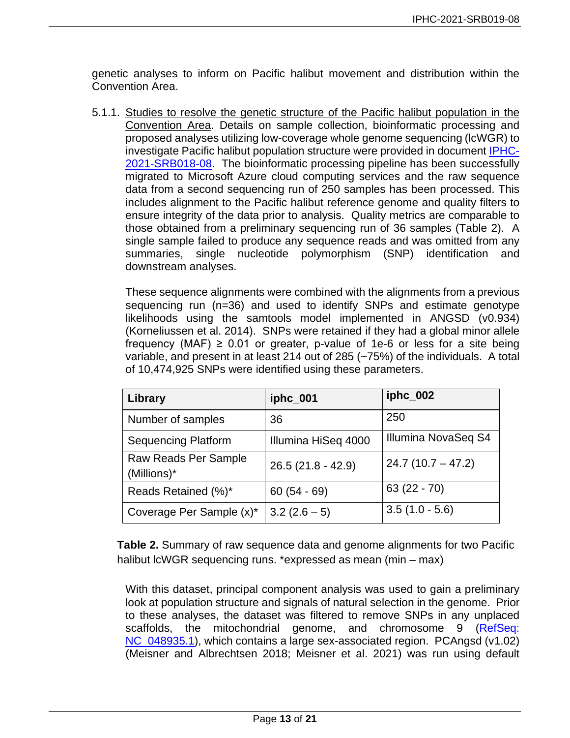genetic analyses to inform on Pacific halibut movement and distribution within the Convention Area.

5.1.1. Studies to resolve the genetic structure of the Pacific halibut population in the Convention Area. Details on sample collection, bioinformatic processing and proposed analyses utilizing low-coverage whole genome sequencing (lcWGR) to investigate Pacific halibut population structure were provided in document [IPHC-](https://www.iphc.int/uploads/pdf/srb/srb018/iphc-2021-srb018-08.pdf)[2021-SRB018-08.](https://www.iphc.int/uploads/pdf/srb/srb018/iphc-2021-srb018-08.pdf) The bioinformatic processing pipeline has been successfully migrated to Microsoft Azure cloud computing services and the raw sequence data from a second sequencing run of 250 samples has been processed. This includes alignment to the Pacific halibut reference genome and quality filters to ensure integrity of the data prior to analysis. Quality metrics are comparable to those obtained from a preliminary sequencing run of 36 samples (Table 2). A single sample failed to produce any sequence reads and was omitted from any summaries, single nucleotide polymorphism (SNP) identification and downstream analyses.

These sequence alignments were combined with the alignments from a previous sequencing run (n=36) and used to identify SNPs and estimate genotype likelihoods using the samtools model implemented in ANGSD (v0.934) (Korneliussen et al. 2014). SNPs were retained if they had a global minor allele frequency (MAF)  $\geq$  0.01 or greater, p-value of 1e-6 or less for a site being variable, and present in at least 214 out of 285 (~75%) of the individuals. A total of 10,474,925 SNPs were identified using these parameters.

| Library                             | iphc_001            | iphc_002            |
|-------------------------------------|---------------------|---------------------|
| Number of samples                   | 36                  | 250                 |
| <b>Sequencing Platform</b>          | Illumina HiSeq 4000 | Illumina NovaSeq S4 |
| Raw Reads Per Sample<br>(Millions)* | 26.5 (21.8 - 42.9)  | $24.7(10.7 - 47.2)$ |
| Reads Retained (%)*                 | $60(54 - 69)$       | $63(22 - 70)$       |
| Coverage Per Sample (x)*            | $3.2(2.6-5)$        | $3.5(1.0 - 5.6)$    |

**Table 2.** Summary of raw sequence data and genome alignments for two Pacific halibut IcWGR sequencing runs. \*expressed as mean (min – max)

With this dataset, principal component analysis was used to gain a preliminary look at population structure and signals of natural selection in the genome. Prior to these analyses, the dataset was filtered to remove SNPs in any unplaced scaffolds, the mitochondrial genome, and chromosome 9 (RefSeq: NC 048935.1), which contains a large sex-associated region. PCAngsd (v1.02) (Meisner and Albrechtsen 2018; Meisner et al. 2021) was run using default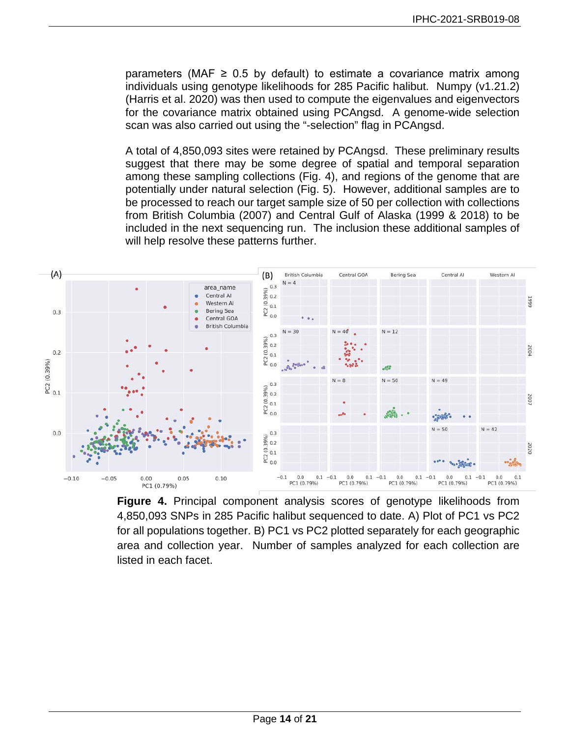parameters (MAF  $\geq$  0.5 by default) to estimate a covariance matrix among individuals using genotype likelihoods for 285 Pacific halibut. Numpy (v1.21.2) (Harris et al. 2020) was then used to compute the eigenvalues and eigenvectors for the covariance matrix obtained using PCAngsd. A genome-wide selection scan was also carried out using the "-selection" flag in PCAngsd.

A total of 4,850,093 sites were retained by PCAngsd. These preliminary results suggest that there may be some degree of spatial and temporal separation among these sampling collections (Fig. 4), and regions of the genome that are potentially under natural selection (Fig. 5). However, additional samples are to be processed to reach our target sample size of 50 per collection with collections from British Columbia (2007) and Central Gulf of Alaska (1999 & 2018) to be included in the next sequencing run. The inclusion these additional samples of will help resolve these patterns further.



**Figure 4.** Principal component analysis scores of genotype likelihoods from 4,850,093 SNPs in 285 Pacific halibut sequenced to date. A) Plot of PC1 vs PC2 for all populations together. B) PC1 vs PC2 plotted separately for each geographic area and collection year. Number of samples analyzed for each collection are listed in each facet.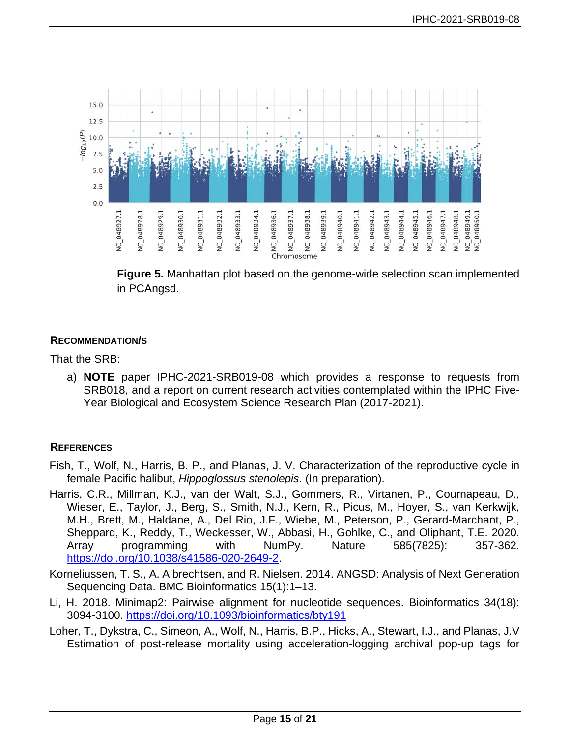

**Figure 5.** Manhattan plot based on the genome-wide selection scan implemented in PCAngsd.

## **RECOMMENDATION/S**

That the SRB:

a) **NOTE** paper IPHC-2021-SRB019-08 which provides a response to requests from SRB018, and a report on current research activities contemplated within the IPHC Five-Year Biological and Ecosystem Science Research Plan (2017-2021).

## **REFERENCES**

- Fish, T., Wolf, N., Harris, B. P., and Planas, J. V. Characterization of the reproductive cycle in female Pacific halibut, *Hippoglossus stenolepis*. (In preparation).
- Harris, C.R., Millman, K.J., van der Walt, S.J., Gommers, R., Virtanen, P., Cournapeau, D., Wieser, E., Taylor, J., Berg, S., Smith, N.J., Kern, R., Picus, M., Hoyer, S., van Kerkwijk, M.H., Brett, M., Haldane, A., Del Rio, J.F., Wiebe, M., Peterson, P., Gerard-Marchant, P., Sheppard, K., Reddy, T., Weckesser, W., Abbasi, H., Gohlke, C., and Oliphant, T.E. 2020. Array programming with NumPy. Nature 585(7825): 357-362. [https://doi.org/10.1038/s41586-020-2649-2.](https://doi.org/10.1038/s41586-020-2649-2)
- Korneliussen, T. S., A. Albrechtsen, and R. Nielsen. 2014. ANGSD: Analysis of Next Generation Sequencing Data. BMC Bioinformatics 15(1):1–13.
- Li, H. 2018. Minimap2: Pairwise alignment for nucleotide sequences. Bioinformatics 34(18): 3094-3100.<https://doi.org/10.1093/bioinformatics/bty191>
- Loher, T., Dykstra, C., Simeon, A., Wolf, N., Harris, B.P., Hicks, A., Stewart, I.J., and Planas, J.V Estimation of post-release mortality using acceleration-logging archival pop-up tags for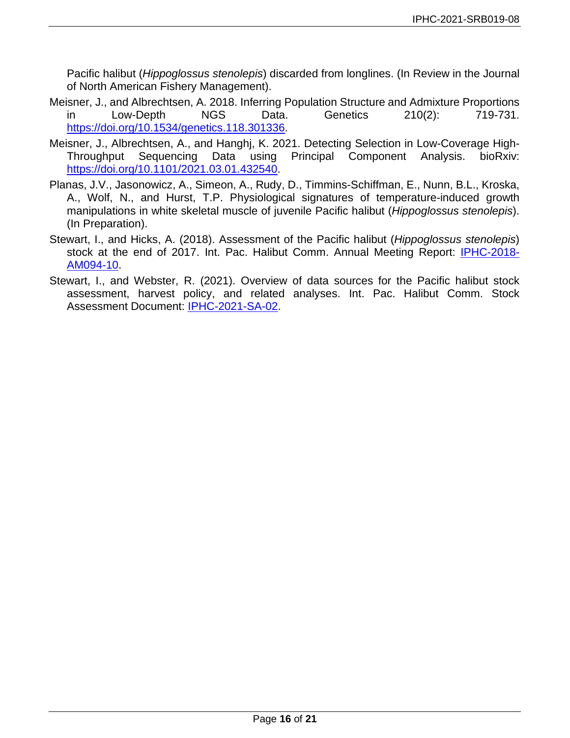Pacific halibut (*Hippoglossus stenolepis*) discarded from longlines. (In Review in the Journal of North American Fishery Management).

- Meisner, J., and Albrechtsen, A. 2018. Inferring Population Structure and Admixture Proportions<br>in Low-Depth NGS Data. Genetics 210(2): 719-731. in Low-Depth NGS Data. Genetics 210(2): 719-731. [https://doi.org/10.1534/genetics.118.301336.](https://doi.org/10.1534/genetics.118.301336)
- Meisner, J., Albrechtsen, A., and Hanghj, K. 2021. Detecting Selection in Low-Coverage High-Throughput Sequencing Data using Principal Component Analysis. bioRxiv: [https://doi.org/10.1101/2021.03.01.432540.](https://doi.org/10.1101/2021.03.01.432540)
- Planas, J.V., Jasonowicz, A., Simeon, A., Rudy, D., Timmins-Schiffman, E., Nunn, B.L., Kroska, A., Wolf, N., and Hurst, T.P. Physiological signatures of temperature-induced growth manipulations in white skeletal muscle of juvenile Pacific halibut (*Hippoglossus stenolepis*). (In Preparation).
- Stewart, I., and Hicks, A. (2018). Assessment of the Pacific halibut (*Hippoglossus stenolepis*) stock at the end of 2017. Int. Pac. Halibut Comm. Annual Meeting Report: [IPHC-2018-](https://www.iphc.int/uploads/pdf/am/2018am/iphc-2018-am094-10.pdf) [AM094-10.](https://www.iphc.int/uploads/pdf/am/2018am/iphc-2018-am094-10.pdf)
- Stewart, I., and Webster, R. (2021). Overview of data sources for the Pacific halibut stock assessment, harvest policy, and related analyses. Int. Pac. Halibut Comm. Stock Assessment Document: [IPHC-2021-SA-02.](https://www.iphc.int/uploads/pdf/sa/2021/iphc-2021-sa-02.pdf)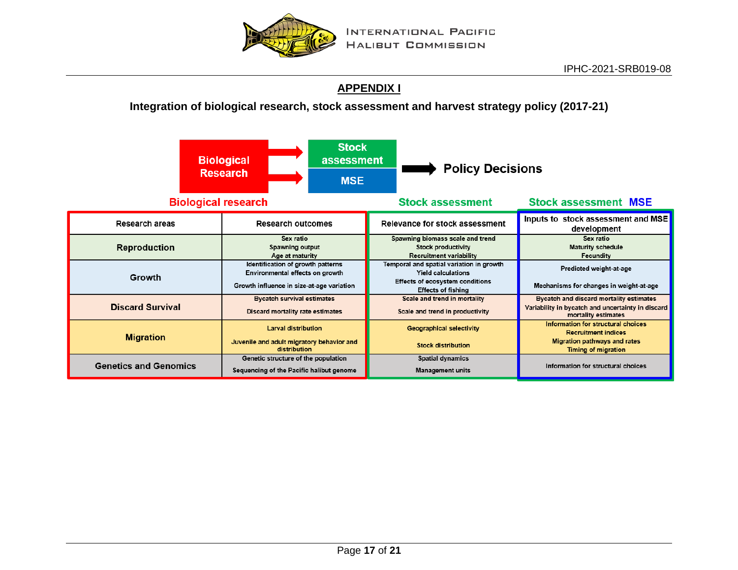

# **[APPENDIX I](#page-16-1)**

## **Integration of biological research, stock assessment and harvest strategy policy (2017-21)**

<span id="page-16-1"></span><span id="page-16-0"></span>

|                              | <b>Stock</b><br><b>Biological</b><br>assessment<br><b>Research</b><br><b>MSE</b>                                  | <b>Policy Decisions</b>                                                                                                               |                                                                                                                                |  |
|------------------------------|-------------------------------------------------------------------------------------------------------------------|---------------------------------------------------------------------------------------------------------------------------------------|--------------------------------------------------------------------------------------------------------------------------------|--|
| <b>Biological research</b>   |                                                                                                                   | <b>Stock assessment MSE</b><br><b>Stock assessment</b>                                                                                |                                                                                                                                |  |
| Research areas               | <b>Research outcomes</b>                                                                                          | Relevance for stock assessment                                                                                                        | Inputs to stock assessment and MSE<br>development                                                                              |  |
| <b>Reproduction</b>          | Sex ratio<br>Spawning output<br>Age at maturity                                                                   | Spawning biomass scale and trend<br><b>Stock productivity</b><br>Recruitment variability                                              | Sex ratio<br><b>Maturity schedule</b><br>Fecundity                                                                             |  |
| Growth                       | Identification of growth patterns<br>Environmental effects on growth<br>Growth influence in size-at-age variation | Temporal and spatial variation in growth<br><b>Yield calculations</b><br>Effects of ecosystem conditions<br><b>Effects of fishing</b> | Predicted weight-at-age<br>Mechanisms for changes in weight-at-age                                                             |  |
| <b>Discard Survival</b>      | <b>Bycatch survival estimates</b><br>Discard mortality rate estimates                                             | Scale and trend in mortality<br>Scale and trend in productivity                                                                       | Bycatch and discard mortality estimates<br>Variability in bycatch and uncertainty in discard<br>mortality estimates            |  |
| <b>Migration</b>             | <b>Larval distribution</b><br>Juvenile and adult migratory behavior and<br>distribution                           | <b>Geographical selectivity</b><br><b>Stock distribution</b>                                                                          | Information for structural choices<br><b>Recruitment indices</b><br>Migration pathways and rates<br><b>Timing of migration</b> |  |
| <b>Genetics and Genomics</b> | Genetic structure of the population<br>Sequencing of the Pacific halibut genome                                   | <b>Spatial dynamics</b><br><b>Management units</b>                                                                                    | Information for structural choices                                                                                             |  |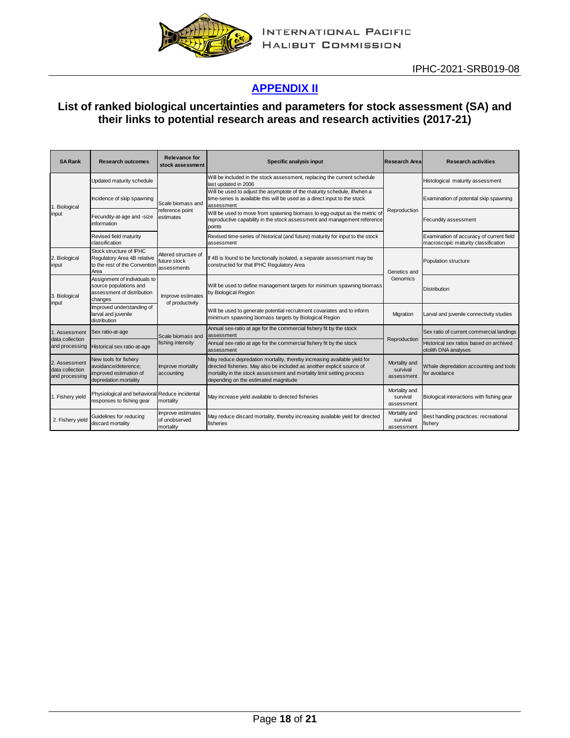

# **[APPENDIX II](#page-17-0)**

## <span id="page-17-0"></span>**List of ranked biological uncertainties and parameters for stock assessment (SA) and their links to potential research areas and research activities (2017-21)**

| <b>SARank</b>                                      | <b>Research outcomes</b>                                                                         | Relevance for<br>stock assessment                   | Specific analysis input                                                                                                                                                                                                                                             | <b>Research Area</b>                    | <b>Research activities</b>                                                      |
|----------------------------------------------------|--------------------------------------------------------------------------------------------------|-----------------------------------------------------|---------------------------------------------------------------------------------------------------------------------------------------------------------------------------------------------------------------------------------------------------------------------|-----------------------------------------|---------------------------------------------------------------------------------|
| 1. Biological<br>input                             | Updated maturity schedule                                                                        |                                                     | Will be included in the stock assessment, replacing the current schedule<br>last updated in 2006                                                                                                                                                                    |                                         | Histological maturity assessment                                                |
|                                                    | Incidence of skip spawning                                                                       | Scale biomass and                                   | Will be used to adjust the asymptote of the maturity schedule, if/when a<br>time-series is available this will be used as a direct input to the stock<br>assessment                                                                                                 |                                         | Examination of potential skip spawning                                          |
|                                                    | Fecundity-at-age and -size<br>information                                                        | reference point<br>estimates                        | Will be used to move from spawning biomass to egg-output as the metric of<br>reproductive capability in the stock assessment and management reference<br>points                                                                                                     | Reproduction                            | Fecundity assessment                                                            |
|                                                    | Revised field maturity<br>classification                                                         |                                                     | Revised time-series of historical (and future) maturity for input to the stock<br>assessment                                                                                                                                                                        |                                         | Examination of accuracy of current field<br>macroscopic maturity classification |
| 2. Biological<br>input                             | Stock structure of IPHC<br>Regulatory Area 4B relative<br>to the rest of the Convention<br>Area  | Altered structure of<br>future stock<br>assessments | If 4B is found to be functionally isolated, a separate assessment may be<br>constructed for that IPHC Regulatory Area                                                                                                                                               | Genetics and                            | Population structure                                                            |
| 3. Biological<br>input                             | Assignment of individuals to<br>source populations and<br>assessment of distribution<br>changes  | Improve estimates<br>of productivity                | Will be used to define management targets for minimum spawning biomass<br>by Biological Region                                                                                                                                                                      | Genomics                                | <b>Distribution</b>                                                             |
|                                                    | Improved understanding of<br>larval and juvenile<br>distribution                                 |                                                     | Will be used to generate potential recruitment covariates and to inform<br>minimum spawning biomass targets by Biological Region                                                                                                                                    | Migration                               | Larval and juvenile connectivity studies                                        |
| 1. Assessment                                      | Sex ratio-at-age                                                                                 | Scale biomass and                                   | Annual sex-ratio at age for the commercial fishery fit by the stock<br>assessment                                                                                                                                                                                   |                                         | Sex ratio of current commercial landings                                        |
| data collection<br>and processing                  | Historical sex ratio-at-age                                                                      | fishing intensity                                   | Annual sex-ratio at age for the commercial fishery fit by the stock<br>assessment                                                                                                                                                                                   | Reproduction                            | Historical sex ratios based on archived<br>otolith DNA analyses                 |
| 2. Assessment<br>data collection<br>and processing | New tools for fishery<br>avoidance/deterence;<br>improved estimation of<br>depredation mortality | Improve mortality<br>accounting                     | May reduce depredation mortality, thereby increasing available yield for<br>directed fisheries. May also be included as another explicit source of<br>mortality in the stock assessment and mortality limit setting process<br>depending on the estimated magnitude | Mortality and<br>survival<br>assessment | Whale depredation accounting and tools<br>for avoidance                         |
| 1. Fishery yield                                   | Physiological and behavioral Reduce incidental<br>responses to fishing gear                      | mortality                                           | May increase yield available to directed fisheries                                                                                                                                                                                                                  | Mortality and<br>survival<br>assessment | Biological interactions with fishing gear                                       |
| 2. Fishery yield                                   | Guidelines for reducing<br>discard mortality                                                     | Improve estimates<br>of unobserved<br>mortality     | May reduce discard mortality, thereby increasing available yield for directed<br>fisheries                                                                                                                                                                          | Mortality and<br>survival<br>assessment | Best handling practices: recreational<br>ïshery                                 |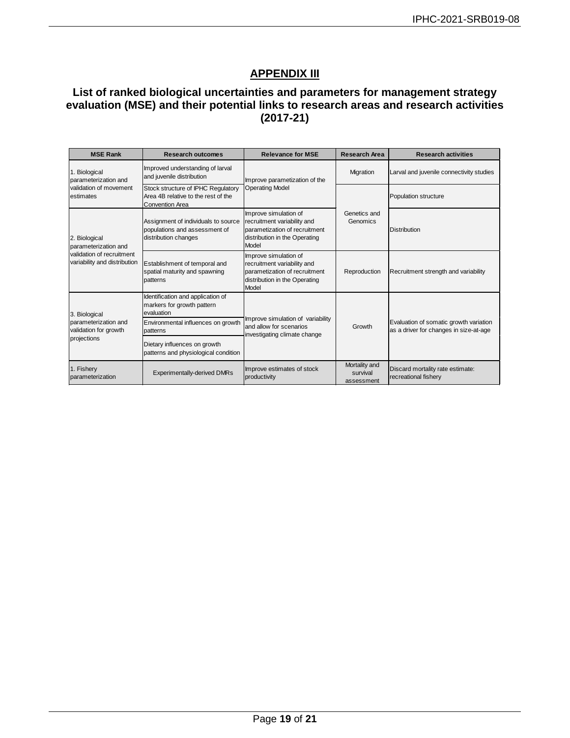# **APPENDIX III**

### <span id="page-18-0"></span>**List of ranked biological uncertainties and parameters for management strategy evaluation (MSE) and their potential links to research areas and research activities (2017-21)**

| <b>MSE Rank</b>                                                               | <b>Research outcomes</b>                                                                            | <b>Relevance for MSE</b>                                                                                                        | <b>Research Area</b>                    | <b>Research activities</b>                                                       |
|-------------------------------------------------------------------------------|-----------------------------------------------------------------------------------------------------|---------------------------------------------------------------------------------------------------------------------------------|-----------------------------------------|----------------------------------------------------------------------------------|
| 1. Biological<br>parameterization and                                         | Improved understanding of larval<br>and juvenile distribution                                       | Improve parametization of the                                                                                                   | Migration                               | Larval and juvenile connectivity studies                                         |
| validation of movement<br>estimates                                           | Stock structure of IPHC Regulatory<br>Area 4B relative to the rest of the<br><b>Convention Area</b> | <b>Operating Model</b>                                                                                                          |                                         | <b>Population structure</b>                                                      |
| 2. Biological<br>parameterization and                                         | Assignment of individuals to source<br>populations and assessment of<br>distribution changes        | Improve simulation of<br>recruitment variability and<br>parametization of recruitment<br>distribution in the Operating<br>Model | Genetics and<br>Genomics                | <b>Distribution</b>                                                              |
| validation of recruitment<br>variability and distribution                     | Establishment of temporal and<br>spatial maturity and spawning<br>patterns                          | Improve simulation of<br>recruitment variability and<br>parametization of recruitment<br>distribution in the Operating<br>Model | Reproduction                            | Recruitment strength and variability                                             |
| 3. Biological<br>parameterization and<br>validation for growth<br>projections | Identification and application of<br>markers for growth pattern<br>evaluation                       |                                                                                                                                 | Growth                                  | Evaluation of somatic growth variation<br>as a driver for changes in size-at-age |
|                                                                               | Environmental influences on growth<br>patterns                                                      | Improve simulation of variability<br>and allow for scenarios<br>investigating climate change                                    |                                         |                                                                                  |
|                                                                               | Dietary influences on growth<br>patterns and physiological condition                                |                                                                                                                                 |                                         |                                                                                  |
| 1. Fishery<br>parameterization                                                | <b>Experimentally-derived DMRs</b>                                                                  | Improve estimates of stock<br>productivity                                                                                      | Mortality and<br>survival<br>assessment | Discard mortality rate estimate:<br>recreational fishery                         |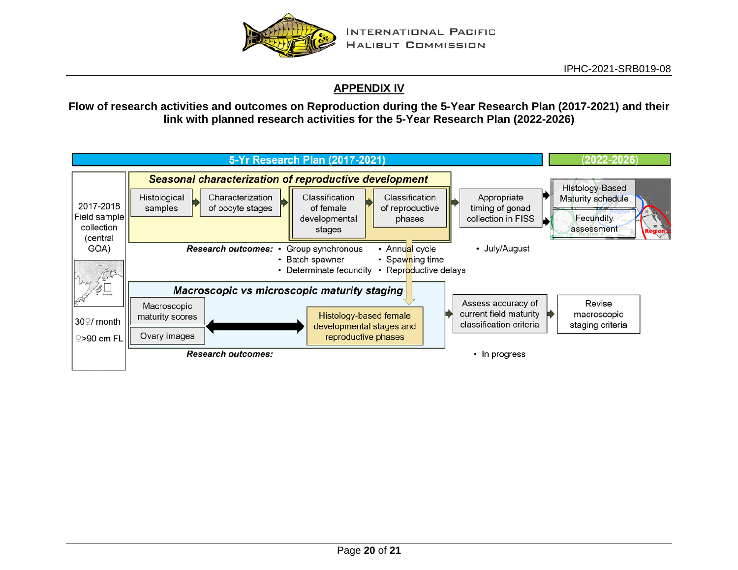

## **APPENDIX IV**

**Flow of research activities and outcomes on Reproduction during the 5-Year Research Plan (2017-2021) and their link with planned research activities for the 5-Year Research Plan (2022-2026)**

<span id="page-19-0"></span>